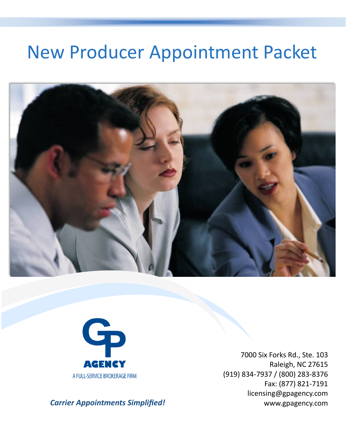# New Producer Appointment Packet





7000 Six Forks Rd., Ste. 103 Raleigh, NC 27615 (919) 834-7937 / (800) 283-8376 Fax: (877) 821-7191 licensing@gpagency.com www.gpagency.com

*Carrier Appointments Simplified!*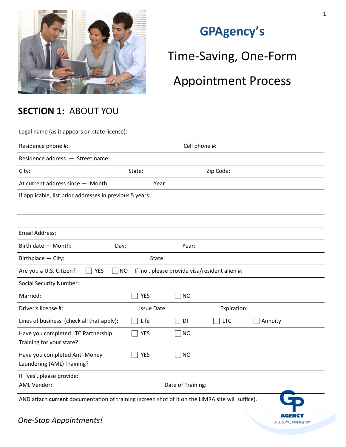

# **GPAgency's**

Time-Saving, One-Form

# Appointment Process

### **SECTION 1:** ABOUT YOU

Legal name (as it appears on state license):

| Residence phone #:                                                                               | Cell phone #:      |                   |                                                |         |
|--------------------------------------------------------------------------------------------------|--------------------|-------------------|------------------------------------------------|---------|
| Residence address - Street name:                                                                 |                    |                   |                                                |         |
| City:                                                                                            | State:             |                   | Zip Code:                                      |         |
| At current address since - Month:                                                                | Year:              |                   |                                                |         |
| If applicable, list prior addresses in previous 5 years:                                         |                    |                   |                                                |         |
|                                                                                                  |                    |                   |                                                |         |
|                                                                                                  |                    |                   |                                                |         |
| <b>Email Address:</b>                                                                            |                    |                   |                                                |         |
| Birth date - Month:<br>Day:                                                                      |                    | Year:             |                                                |         |
| Birthplace - City:                                                                               | State:             |                   |                                                |         |
| Are you a U.S. Citizen?<br><b>YES</b><br><b>NO</b>                                               |                    |                   | If 'no', please provide visa/resident alien #: |         |
| <b>Social Security Number:</b>                                                                   |                    |                   |                                                |         |
| Married:                                                                                         | <b>YES</b>         | ∃NO               |                                                |         |
| Driver's license #:                                                                              | <b>Issue Date:</b> |                   | Expiration:                                    |         |
| Lines of business (check all that apply):                                                        | Life               | DI                | <b>LTC</b>                                     | Annuity |
| Have you completed LTC Partnership<br>Training for your state?                                   | <b>YES</b>         | $\neg$ NO         |                                                |         |
| Have you completed Anti-Money<br>Laundering (AML) Training?                                      | <b>YES</b>         | $\Box$ NO         |                                                |         |
| If 'yes', please provide:<br><b>AML Vendor:</b>                                                  |                    | Date of Training: |                                                |         |
| AND attach current documentation of training (screen shot of it on the LIMRA site will suffice). |                    |                   |                                                |         |

1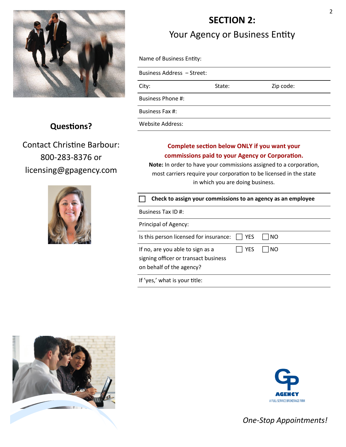

#### **Questions?**

Contact Christine Barbour: 800-283-8376 or licensing@gpagency.com



# **SECTION 2:**

Your Agency or Business Entity

| Business Address - Street: |        |           |
|----------------------------|--------|-----------|
| City:                      | State: | Zip code: |
| Business Phone #:          |        |           |
|                            |        |           |

Business Fax #:

Website Address:

#### **Complete section below ONLY if you want your commissions paid to your Agency or Corporation.**

**Note:** In order to have your commissions assigned to a corporation, most carriers require your corporation to be licensed in the state in which you are doing business.

| Check to assign your commissions to an agency as an employee                                                              |
|---------------------------------------------------------------------------------------------------------------------------|
| Business Tax ID #:                                                                                                        |
| Principal of Agency:                                                                                                      |
| Is this person licensed for insurance:<br><b>YES</b><br>l NO                                                              |
| <b>YES</b><br>If no, are you able to sign as a<br>NO.<br>signing officer or transact business<br>on behalf of the agency? |
| If 'yes,' what is your title:                                                                                             |



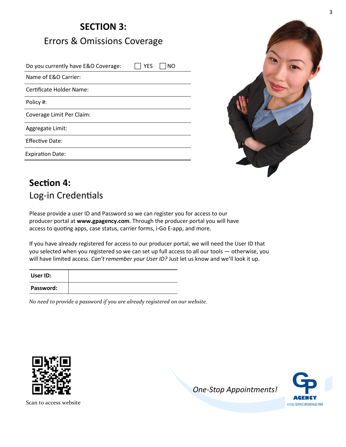# **SECTION 3:** Errors & Omissions Coverage

Do you currently have E&O Coverage:  $\Box$  YES  $\Box$  NO Name of E&O Carrier: Certificate Holder Name: Policy #: Coverage Limit Per Claim: Aggregate Limit: Effective Date: Expiration Date:



# **Section 4:**  Log-in Credentials

Please provide a user ID and Password so we can register you for access to our producer portal at **www.gpagency.com**. Through the producer portal you will have access to quoting apps, case status, carrier forms, i-Go E-app, and more.

If you have already registered for access to our producer portal, we will need the User ID that you selected when you registered so we can set up full access to all our tools — otherwise, you will have limited access. *Can't remember your User ID?* Just let us know and we'll look it up.

| User ID:  |  |
|-----------|--|
| Password: |  |

*No need to provide a password if you are already registered on our website.*



*One-Stop Appointments!*



Scan to access website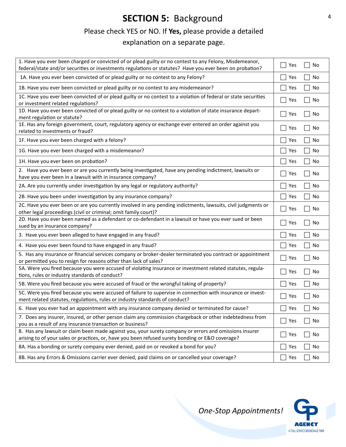### **SECTION 5: Background**

#### Please check YES or NO. If **Yes,** please provide a detailed

explanation on a separate page.

| 1. Have you ever been charged or convicted of or plead guilty or no contest to any Felony, Misdemeanor,<br>federal/state and/or securities or investments regulations or statutes? Have you ever been on probation? | Yes<br>No                   |
|---------------------------------------------------------------------------------------------------------------------------------------------------------------------------------------------------------------------|-----------------------------|
| 1A. Have you ever been convicted of or plead guilty or no contest to any Felony?                                                                                                                                    | No<br>Yes                   |
| 1B. Have you ever been convicted or plead guilty or no contest to any misdemeanor?                                                                                                                                  | No<br>Yes                   |
| 1C. Have you ever been convicted of or plead guilty or no contest to a violation of federal or state securities<br>or investment related regulations?                                                               | Yes<br>No<br>$\blacksquare$ |
| 1D. Have you ever been convicted of or plead guilty or no contest to a violation of state insurance depart-<br>ment regulation or statute?                                                                          | No<br>Yes<br>$\sim$         |
| 1E. Has any foreign government, court, regulatory agency or exchange ever entered an order against you<br>related to investments or fraud?                                                                          | Yes<br>No                   |
| 1F. Have you ever been charged with a felony?                                                                                                                                                                       | No<br>Yes                   |
| 1G. Have you ever been charged with a misdemeanor?                                                                                                                                                                  | No<br>Yes                   |
| 1H. Have you ever been on probation?                                                                                                                                                                                | Yes<br>No                   |
| 2. Have you ever been or are you currently being investigated, have any pending indictment, lawsuits or<br>have you ever been in a lawsuit with in insurance company?                                               | No<br>Yes                   |
| 2A. Are you currently under investigation by any legal or regulatory authority?                                                                                                                                     | No<br>Yes                   |
| 2B. Have you been under investigation by any insurance company?                                                                                                                                                     | $\sim$<br>Yes<br>No         |
| 2C. Have you ever been or are you currently involved in any pending indictments, lawsuits, civil judgments or<br>other legal proceedings (civil or criminal; omit family court)?                                    | No<br>Yes<br>$\sim$         |
| 2D. Have you ever been named as a defendant or co-defendant in a lawsuit or have you ever sued or been<br>sued by an insurance company?                                                                             | No<br>Yes                   |
| 3. Have you ever been alleged to have engaged in any fraud?                                                                                                                                                         | No<br>Yes                   |
| 4. Have you ever been found to have engaged in any fraud?                                                                                                                                                           | No<br>Yes                   |
| 5. Has any insurance or financial services company or broker-dealer terminated you contract or appointment<br>or permitted you to resign for reasons other than lack of sales?                                      | Yes<br>No                   |
| 5A. Were you fired because you were accused of violating insurance or investment related statutes, regula-<br>tions, rules or industry standards of conduct?                                                        | Yes<br>No                   |
| 5B. Were you fired because you were accused of fraud or the wrongful taking of property?                                                                                                                            | No<br>Yes                   |
| 5C. Were you fired because you were accused of failure to supervise in connection with insurance or invest-<br>ment related statutes, regulations, rules or industry standards of conduct?                          | Yes<br>No                   |
| 6. Have you ever had an appointment with any insurance company denied or terminated for cause?                                                                                                                      | $\Box$ Yes<br>No            |
| 7. Does any insurer, insured, or other person claim any commission chargeback or other indebtedness from<br>you as a result of any insurance transaction or business?                                               | No<br>Yes                   |
| 8. Has any lawsuit or claim been made against you, your surety company or errors and omissions insurer<br>arising to of your sales or practices, or, have you been refused surety bonding or E&O coverage?          | Yes<br>No<br>$\sim$         |
| 8A. Has a bonding or surety company ever denied, paid on or revoked a bond for you?                                                                                                                                 | Yes<br>No                   |
| 8B. Has any Errors & Omissions carrier ever denied, paid claims on or cancelled your coverage?                                                                                                                      | $\sim$<br>Yes<br>No         |

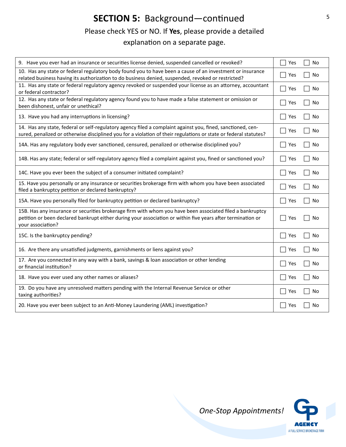# **SECTION 5:** Background—continued Please check YES or NO. If **Yes**, please provide a detailed

explanation on a separate page.

| 9. Have you ever had an insurance or securities license denied, suspended cancelled or revoked?                                                                                                                                               | Yes | No |
|-----------------------------------------------------------------------------------------------------------------------------------------------------------------------------------------------------------------------------------------------|-----|----|
| 10. Has any state or federal regulatory body found you to have been a cause of an investment or insurance<br>related business having its authorization to do business denied, suspended, revoked or restricted?                               | Yes | No |
| 11. Has any state or federal regulatory agency revoked or suspended your license as an attorney, accountant<br>or federal contractor?                                                                                                         | Yes | No |
| 12. Has any state or federal regulatory agency found you to have made a false statement or omission or<br>been dishonest, unfair or unethical?                                                                                                | Yes | No |
| 13. Have you had any interruptions in licensing?                                                                                                                                                                                              | Yes | No |
| 14. Has any state, federal or self-regulatory agency filed a complaint against you, fined, sanctioned, cen-<br>sured, penalized or otherwise disciplined you for a violation of their regulations or state or federal statutes?               | Yes | No |
| 14A. Has any regulatory body ever sanctioned, censured, penalized or otherwise disciplined you?                                                                                                                                               | Yes | No |
| 14B. Has any state; federal or self-regulatory agency filed a complaint against you, fined or sanctioned you?                                                                                                                                 | Yes | No |
| 14C. Have you ever been the subject of a consumer initiated complaint?                                                                                                                                                                        | Yes | No |
| 15. Have you personally or any insurance or securities brokerage firm with whom you have been associated<br>filed a bankruptcy petition or declared bankruptcy?                                                                               | Yes | No |
| 15A. Have you personally filed for bankruptcy petition or declared bankruptcy?                                                                                                                                                                | Yes | No |
| 15B. Has any insurance or securities brokerage firm with whom you have been associated filed a bankruptcy<br>petition or been declared bankrupt either during your association or within five years after termination or<br>your association? | Yes | No |
| 15C. Is the bankruptcy pending?                                                                                                                                                                                                               | Yes | No |
| 16. Are there any unsatisfied judgments, garnishments or liens against you?                                                                                                                                                                   | Yes | No |
| 17. Are you connected in any way with a bank, savings & loan association or other lending<br>or financial institution?                                                                                                                        | Yes | No |
| 18. Have you ever used any other names or aliases?                                                                                                                                                                                            | Yes | No |
| 19. Do you have any unresolved matters pending with the Internal Revenue Service or other<br>taxing authorities?                                                                                                                              | Yes | No |
| 20. Have you ever been subject to an Anti-Money Laundering (AML) investigation?                                                                                                                                                               | Yes | No |

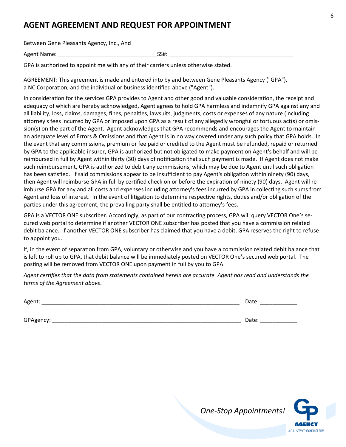#### **AGENT AGREEMENT AND REQUEST FOR APPOINTMENT**

Between Gene Pleasants Agency, Inc., And

Agent Name: The SS#:

GPA is authorized to appoint me with any of their carriers unless otherwise stated.

AGREEMENT: This agreement is made and entered into by and between Gene Pleasants Agency ("GPA"), a NC Corporation, and the individual or business identified above ("Agent").

In consideration for the services GPA provides to Agent and other good and valuable consideration, the receipt and adequacy of which are hereby acknowledged, Agent agrees to hold GPA harmless and indemnify GPA against any and all liability, loss, claims, damages, fines, penalties, lawsuits, judgments, costs or expenses of any nature (including attorney's fees incurred by GPA or imposed upon GPA as a result of any allegedly wrongful or tortuous act(s) or omission(s) on the part of the Agent. Agent acknowledges that GPA recommends and encourages the Agent to maintain an adequate level of Errors & Omissions and that Agent is in no way covered under any such policy that GPA holds. In the event that any commissions, premium or fee paid or credited to the Agent must be refunded, repaid or returned by GPA to the applicable insurer, GPA is authorized but not obligated to make payment on Agent's behalf and will be reimbursed in full by Agent within thirty (30) days of notification that such payment is made. If Agent does not make such reimbursement, GPA is authorized to debit any commissions, which may be due to Agent until such obligation has been satisfied. If said commissions appear to be insufficient to pay Agent's obligation within ninety (90) days, then Agent will reimburse GPA in full by certified check on or before the expiration of ninety (90) days. Agent will reimburse GPA for any and all costs and expenses including attorney's fees incurred by GPA in collecting such sums from Agent and loss of interest. In the event of litigation to determine respective rights, duties and/or obligation of the parties under this agreement, the prevailing party shall be entitled to attorney's fees.

GPA is a VECTOR ONE subscriber. Accordingly, as part of our contracting process, GPA will query VECTOR One's secured web portal to determine if another VECTOR ONE subscriber has posted that you have a commission related debit balance. If another VECTOR ONE subscriber has claimed that you have a debit, GPA reserves the right to refuse to appoint you.

If, in the event of separation from GPA, voluntary or otherwise and you have a commission related debit balance that is left to roll up to GPA, that debit balance will be immediately posted on VECTOR One's secured web portal. The posting will be removed from VECTOR ONE upon payment in full by you to GPA.

*Agent certifies that the data from statements contained herein are accurate. Agent has read and understands the terms of the Agreement above.*

| Agent:    | Date: |
|-----------|-------|
|           |       |
| GPAgency: | Date: |

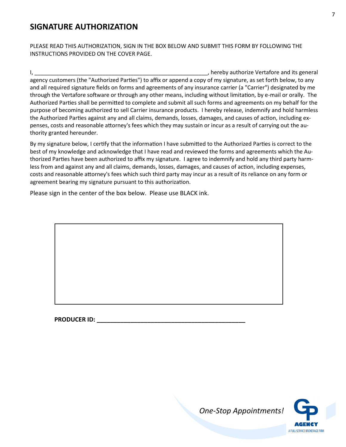#### **SIGNATURE AUTHORIZATION**

PLEASE READ THIS AUTHORIZATION, SIGN IN THE BOX BELOW AND SUBMIT THIS FORM BY FOLLOWING THE INSTRUCTIONS PROVIDED ON THE COVER PAGE.

I, the contract of the contract of the contract of the contract of the contract of the contract of the contract of the contract of the contract of the contract of the contract of the contract of the contract of the contrac agency customers (the "Authorized Parties") to affix or append a copy of my signature, as set forth below, to any and all required signature fields on forms and agreements of any insurance carrier (a "Carrier") designated by me through the Vertafore software or through any other means, including without limitation, by e-mail or orally. The Authorized Parties shall be permitted to complete and submit all such forms and agreements on my behalf for the purpose of becoming authorized to sell Carrier insurance products. I hereby release, indemnify and hold harmless the Authorized Parties against any and all claims, demands, losses, damages, and causes of action, including expenses, costs and reasonable attorney's fees which they may sustain or incur as a result of carrying out the authority granted hereunder.

By my signature below, I certify that the information I have submitted to the Authorized Parties is correct to the best of my knowledge and acknowledge that I have read and reviewed the forms and agreements which the Authorized Parties have been authorized to affix my signature. I agree to indemnify and hold any third party harmless from and against any and all claims, demands, losses, damages, and causes of action, including expenses, costs and reasonable attorney's fees which such third party may incur as a result of its reliance on any form or agreement bearing my signature pursuant to this authorization.

Please sign in the center of the box below. Please use BLACK ink.

 **PRODUCER ID: \_\_\_\_\_\_\_\_\_\_\_\_\_\_\_\_\_\_\_\_\_\_\_\_\_\_\_\_\_\_\_\_\_\_\_\_\_\_\_\_\_\_\_\_**

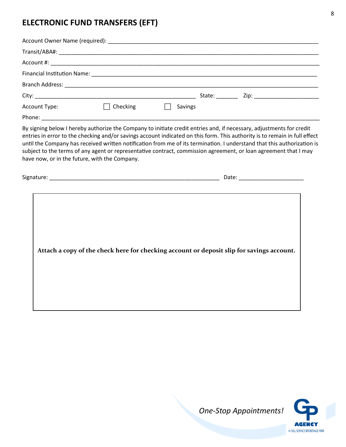#### **ELECTRONIC FUND TRANSFERS (EFT)**

| Account Type: | Checking | Savings |  |
|---------------|----------|---------|--|
|               |          |         |  |

By signing below I hereby authorize the Company to initiate credit entries and, if necessary, adjustments for credit entries in error to the checking and/or savings account indicated on this form. This authority is to remain in full effect until the Company has received written notification from me of its termination. I understand that this authorization is subject to the terms of any agent or representative contract, commission agreement, or loan agreement that I may have now, or in the future, with the Company.

| $\sim$<br><b>SIG</b> | - - - - - |
|----------------------|-----------|
|                      |           |

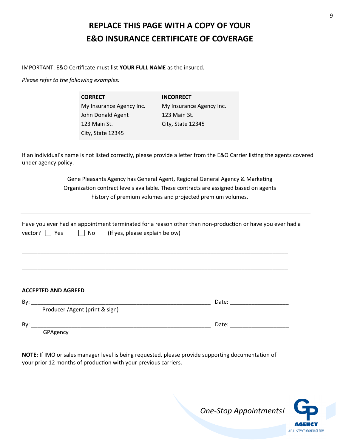### **REPLACE THIS PAGE WITH A COPY OF YOUR E&O INSURANCE CERTIFICATE OF COVERAGE**

IMPORTANT: E&O Certificate must list **YOUR FULL NAME** as the insured.

*Please refer to the following examples:*

**CORRECT** My Insurance Agency Inc. John Donald Agent 123 Main St. City, State 12345 **INCORRECT** My Insurance Agency Inc. 123 Main St. City, State 12345

If an individual's name is not listed correctly, please provide a letter from the E&O Carrier listing the agents covered under agency policy.

> Gene Pleasants Agency has General Agent, Regional General Agency & Marketing Organization contract levels available. These contracts are assigned based on agents history of premium volumes and projected premium volumes.

|                    | Have you ever had an appointment terminated for a reason other than non-production or have you ever had a |
|--------------------|-----------------------------------------------------------------------------------------------------------|
| vector? $\Box$ Yes | $\Box$ No (If yes, please explain below)                                                                  |

\_\_\_\_\_\_\_\_\_\_\_\_\_\_\_\_\_\_\_\_\_\_\_\_\_\_\_\_\_\_\_\_\_\_\_\_\_\_\_\_\_\_\_\_\_\_\_\_\_\_\_\_\_\_\_\_\_\_\_\_\_\_\_\_\_\_\_\_\_\_\_\_\_\_\_\_\_\_\_\_\_\_\_\_\_\_

\_\_\_\_\_\_\_\_\_\_\_\_\_\_\_\_\_\_\_\_\_\_\_\_\_\_\_\_\_\_\_\_\_\_\_\_\_\_\_\_\_\_\_\_\_\_\_\_\_\_\_\_\_\_\_\_\_\_\_\_\_\_\_\_\_\_\_\_\_\_\_\_\_\_\_\_\_\_\_\_\_\_\_\_\_\_

#### **ACCEPTED AND AGREED**

| By: |                                 | Date: |
|-----|---------------------------------|-------|
|     | Producer / Agent (print & sign) |       |
| Bv: |                                 | Date: |
|     | GPAgency                        |       |

**NOTE:** If IMO or sales manager level is being requested, please provide supporting documentation of your prior 12 months of production with your previous carriers.